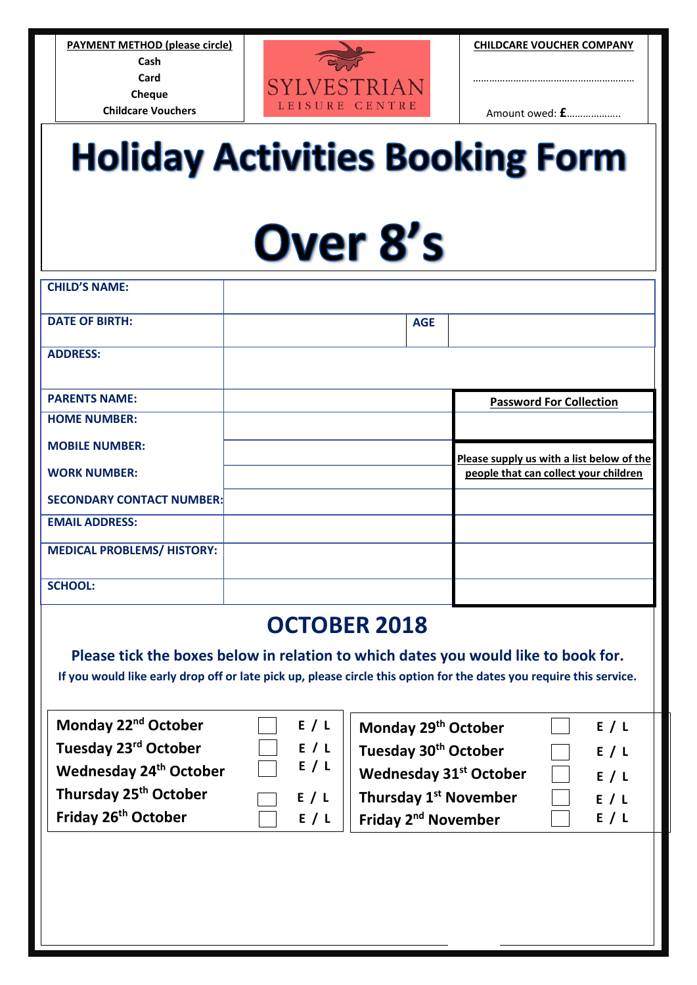**PAYMENT METHOD (please circle) Cash Card Cheque Childcare Vouchers** 



**CHILDCARE VOUCHER COMPANY**

……………………………………………………

Amount owed: **£**………………..

## **Holiday Activities Booking Form**

## Over 8's

| <b>CHILD'S NAME:</b>              |            |                                           |
|-----------------------------------|------------|-------------------------------------------|
| <b>DATE OF BIRTH:</b>             | <b>AGE</b> |                                           |
| <b>ADDRESS:</b>                   |            |                                           |
| <b>PARENTS NAME:</b>              |            | <b>Password For Collection</b>            |
| <b>HOME NUMBER:</b>               |            |                                           |
| <b>MOBILE NUMBER:</b>             |            | Please supply us with a list below of the |
|                                   |            |                                           |
| <b>WORK NUMBER:</b>               |            | people that can collect your children     |
| <b>SECONDARY CONTACT NUMBER:</b>  |            |                                           |
| <b>EMAIL ADDRESS:</b>             |            |                                           |
| <b>MEDICAL PROBLEMS/ HISTORY:</b> |            |                                           |

## **OCTOBER 2018**

**Please tick the boxes below in relation to which dates you would like to book for. If you would like early drop off or late pick up, please circle this option for the dates you require this service.**

**Monday 22nd October**   $\Box$  **Tuesday 23<sup>rd</sup> October Wednesday 24th October Thursday 25th October** 

**Friday 26th October** 

| г |  |
|---|--|
| г |  |

**E / L**

**E / L**

| E / L | Monday 29th October                |     |
|-------|------------------------------------|-----|
| E / L | Tuesday 30 <sup>th</sup> October   | E/L |
| E / L | Wednesday 31 <sup>st</sup> October | E/L |
| E/L   | Thursday 1 <sup>st</sup> November  | E/L |
| E / L | Friday 2 <sup>nd</sup> November    | E/L |

 $\Box$ 

**Monday 29th October**